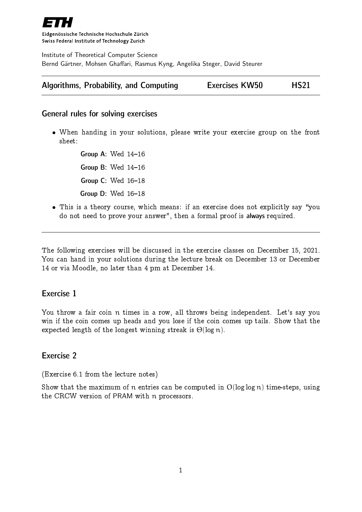

Eidgenössische Technische Hochschule Zürich Swiss Federal Institute of Technology Zurich

Institute of Theoretical Computer Science Bernd Gärtner, Mohsen Ghaffari, Rasmus Kyng, Angelika Steger, David Steurer

| Algorithms, Probability, and Computing | <b>Exercises KW50</b> | <b>HS21</b> |
|----------------------------------------|-----------------------|-------------|
|----------------------------------------|-----------------------|-------------|

#### General rules for solving exercises

 When handing in your solutions, please write your exercise group on the front sheet:

> Group A: Wed  $14-16$ Group B: Wed  $14-16$ Group  $C:$  Wed  $16-18$ Group  $D$ : Wed  $16-18$

• This is a theory course, which means: if an exercise does not explicitly say "you do not need to prove your answer", then a formal proof is always required.

The following exercises will be discussed in the exercise classes on December 15, 2021. You can hand in your solutions during the lecture break on December 13 or December 14 or via Moodle, no later than 4 pm at December 14.

#### Exercise 1

You throw a fair coin n times in a row, all throws being independent. Let's say you win if the coin comes up heads and you lose if the coin comes up tails. Show that the expected length of the longest winning streak is  $\Theta(\log n)$ .

#### Exercise 2

(Exercise 6.1 from the lecture notes)

Show that the maximum of n entries can be computed in  $O(log log n)$  time-steps, using the CRCW version of PRAM with n processors.